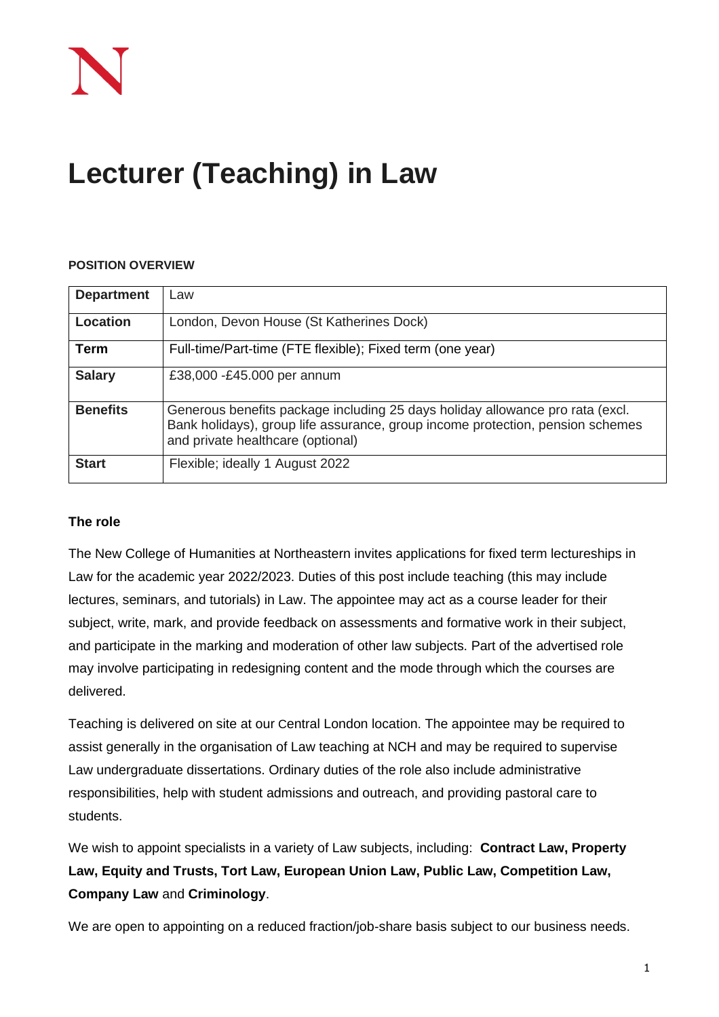# **Lecturer (Teaching) in Law**

# **POSITION OVERVIEW**

| <b>Department</b> | Law                                                                                                                                                                                                  |
|-------------------|------------------------------------------------------------------------------------------------------------------------------------------------------------------------------------------------------|
| <b>Location</b>   | London, Devon House (St Katherines Dock)                                                                                                                                                             |
| Term              | Full-time/Part-time (FTE flexible); Fixed term (one year)                                                                                                                                            |
| <b>Salary</b>     | £38,000 -£45.000 per annum                                                                                                                                                                           |
| <b>Benefits</b>   | Generous benefits package including 25 days holiday allowance pro rata (excl.<br>Bank holidays), group life assurance, group income protection, pension schemes<br>and private healthcare (optional) |
| <b>Start</b>      | Flexible; ideally 1 August 2022                                                                                                                                                                      |

#### **The role**

The New College of Humanities at Northeastern invites applications for fixed term lectureships in Law for the academic year 2022/2023. Duties of this post include teaching (this may include lectures, seminars, and tutorials) in Law. The appointee may act as a course leader for their subject, write, mark, and provide feedback on assessments and formative work in their subject, and participate in the marking and moderation of other law subjects. Part of the advertised role may involve participating in redesigning content and the mode through which the courses are delivered.

Teaching is delivered on site at our Central London location. The appointee may be required to assist generally in the organisation of Law teaching at NCH and may be required to supervise Law undergraduate dissertations. Ordinary duties of the role also include administrative responsibilities, help with student admissions and outreach, and providing pastoral care to students.

We wish to appoint specialists in a variety of Law subjects, including: **Contract Law, Property Law, Equity and Trusts, Tort Law, European Union Law, Public Law, Competition Law, Company Law** and **Criminology**.

We are open to appointing on a reduced fraction/job-share basis subject to our business needs.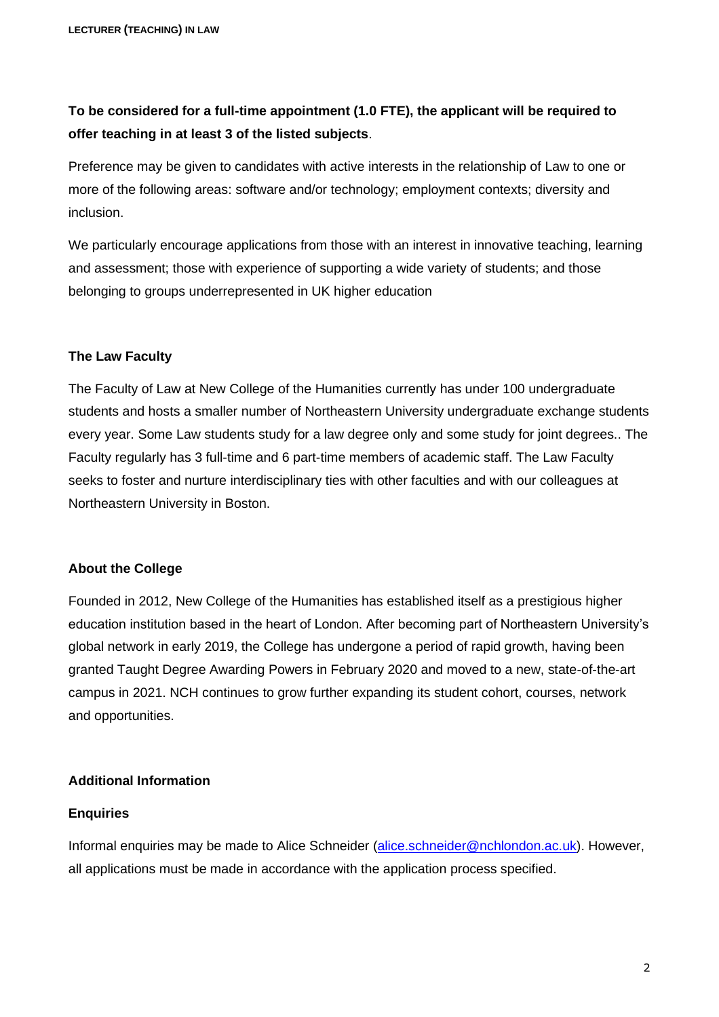# **To be considered for a full-time appointment (1.0 FTE), the applicant will be required to offer teaching in at least 3 of the listed subjects**.

Preference may be given to candidates with active interests in the relationship of Law to one or more of the following areas: software and/or technology; employment contexts; diversity and inclusion.

We particularly encourage applications from those with an interest in innovative teaching, learning and assessment; those with experience of supporting a wide variety of students; and those belonging to groups underrepresented in UK higher education

#### **The Law Faculty**

The Faculty of Law at New College of the Humanities currently has under 100 undergraduate students and hosts a smaller number of Northeastern University undergraduate exchange students every year. Some Law students study for a law degree only and some study for joint degrees.. The Faculty regularly has 3 full-time and 6 part-time members of academic staff. The Law Faculty seeks to foster and nurture interdisciplinary ties with other faculties and with our colleagues at Northeastern University in Boston.

# **About the College**

Founded in 2012, New College of the Humanities has established itself as a prestigious higher education institution based in the heart of London. After becoming part of Northeastern University's global network in early 2019, the College has undergone a period of rapid growth, having been granted Taught Degree Awarding Powers in February 2020 and moved to a new, state-of-the-art campus in 2021. NCH continues to grow further expanding its student cohort, courses, network and opportunities.

#### **Additional Information**

#### **Enquiries**

Informal enquiries may be made to Alice Schneider [\(alice.schneider@nchlondon.ac.uk\)](mailto:alice.schneider@nchlondon.ac.uk). However, all applications must be made in accordance with the application process specified.